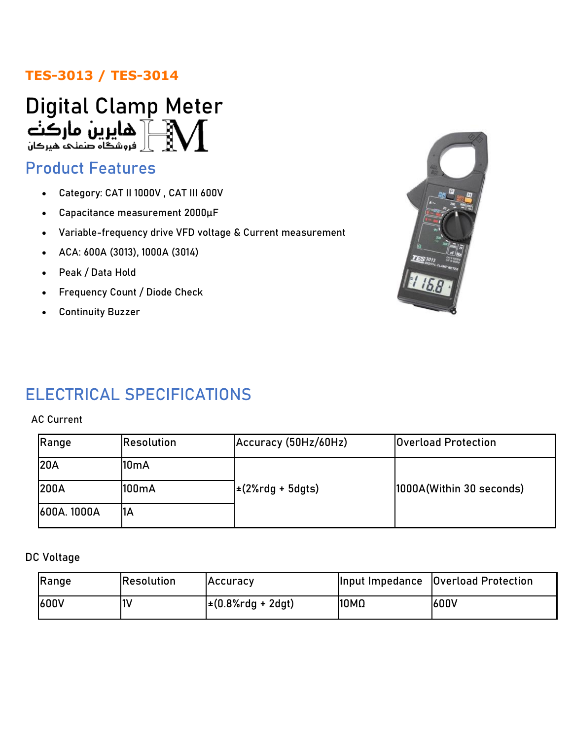## **TES-3013 / TES-3014**



# Product Features

- Category: CAT II 1000V , CAT III 600V
- Capacitance measurement 2000µF
- Variable-frequency drive VFD voltage & Current measurement
- ACA: 600A (3013), 1000A (3014)
- Peak / Data Hold
- Frequency Count / Diode Check
- Continuity Buzzer



# ELECTRICAL SPECIFICATIONS

#### AC Current

| Range       | Resolution        | Accuracy (50Hz/60Hz)  | <b>Overload Protection</b> |
|-------------|-------------------|-----------------------|----------------------------|
| <b>20A</b>  | 10 <sub>m</sub> A |                       |                            |
| <b>200A</b> | 100mA             | $\pm$ (2%rdg + 5dgts) | 1000A(Within 30 seconds)   |
| 600A. 1000A | ΊA                |                       |                            |

DC Voltage

| Range       | Resolution | IAccuracv                               |      | Input Impedance   Overload Protection |
|-------------|------------|-----------------------------------------|------|---------------------------------------|
| <b>600V</b> | 11 V       | $\pm (0.8\% \text{rdg} + 2 \text{dgt})$ | 10MΩ | <b>1600V</b>                          |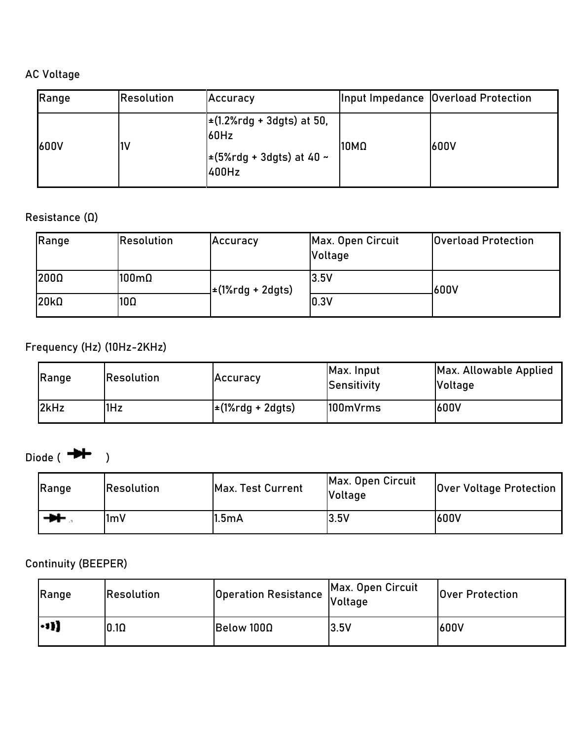## AC Voltage

| Range       | Resolution | Accuracy                                                                         |      | Input Impedance   Overload Protection |
|-------------|------------|----------------------------------------------------------------------------------|------|---------------------------------------|
| <b>600V</b> | l1V        | $\pm$ (1.2%rdg + 3dgts) at 50,<br>60Hz<br>$\pm$ (5%rdg + 3dgts) at 40 ~<br>400Hz | 10MΩ | 600V                                  |

### Resistance (Ω)

| Range            | <b>Resolution</b>    | Accuracy                 | Max. Open Circuit<br>Voltage | <b>Overload Protection</b> |
|------------------|----------------------|--------------------------|------------------------------|----------------------------|
| 200Ω             | $100 \text{m}\Omega$ | <b>⊥±(1%rdg + 2dgts)</b> | 3.5V                         | 600V                       |
| 20k <sub>0</sub> | $10\Omega$           |                          | 0.3V                         |                            |

## Frequency (Hz) (10Hz-2KHz)

| Range | <b>Resolution</b> | Accuracy              | Max. Input<br>Sensitivity | Max. Allowable Applied<br><b>Voltage</b> |
|-------|-------------------|-----------------------|---------------------------|------------------------------------------|
| 2kHz  | 1Hz               | $\pm$ (1%rdg + 2dgts) | 100mVrms                  | 600V                                     |

## Diode  $\rightarrow$   $\rightarrow$   $\rightarrow$   $\rightarrow$

| Range | <b>Resolution</b> | Max. Test Current | Max. Open Circuit<br><b>Voltage</b> | <b>Over Voltage Protection</b> |
|-------|-------------------|-------------------|-------------------------------------|--------------------------------|
| ₩     | l1mV              | 1.5mA             | 3.5V                                | 600V                           |

### Continuity (BEEPER)

| Range                  | <b>Resolution</b> | Operation Resistance Voltage | Max. Open Circuit | <b>Over Protection</b> |
|------------------------|-------------------|------------------------------|-------------------|------------------------|
| $\left  \cdot \right $ | $0.1\Omega$       | Below 100Ω                   | 3.5V              | 600V                   |